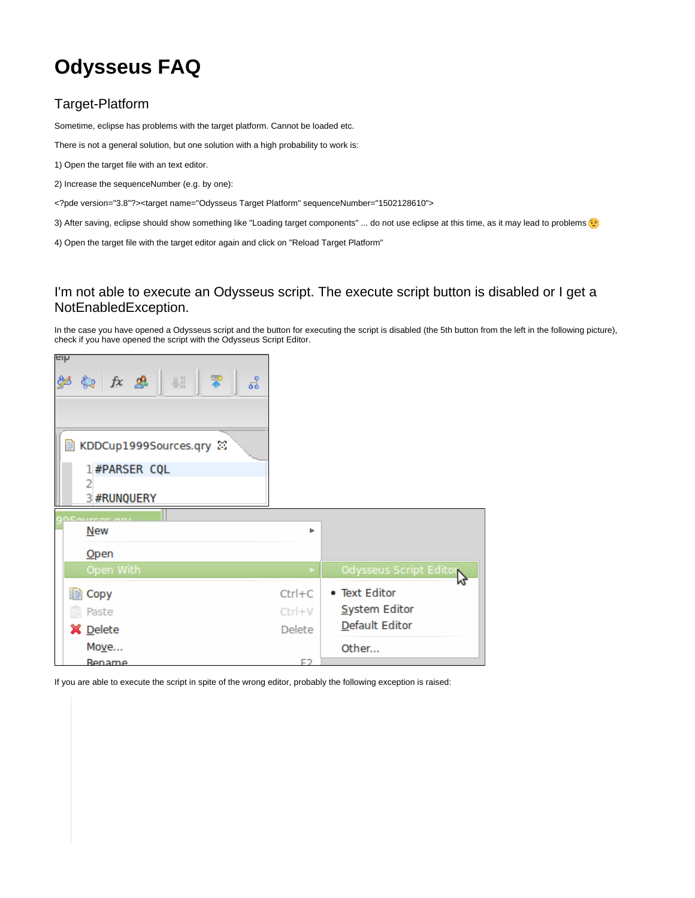## **Odysseus FAQ**

## Target-Platform

Sometime, eclipse has problems with the target platform. Cannot be loaded etc.

There is not a general solution, but one solution with a high probability to work is:

- 1) Open the target file with an text editor.
- 2) Increase the sequenceNumber (e.g. by one):
- <?pde version="3.8"?><target name="Odysseus Target Platform" sequenceNumber="1502128610">
- 3) After saving, eclipse should show something like "Loading target components" ... do not use eclipse at this time, as it may lead to problems
- 4) Open the target file with the target editor again and click on "Reload Target Platform"

## I'm not able to execute an Odysseus script. The execute script button is disabled or I get a NotEnabledException.

In the case you have opened a Odysseus script and the button for executing the script is disabled (the 5th button from the left in the following picture), check if you have opened the script with the Odysseus Script Editor.

| aih<br>学会 左思  #  章<br>ಕೆ<br>KDDCup1999Sources.qry<br>目 |                       |                        |
|--------------------------------------------------------|-----------------------|------------------------|
| 1#PARSER CQL                                           |                       |                        |
| 3 #RUNQUERY                                            |                       |                        |
| <b>OCALIFERE AB</b>                                    |                       |                        |
| <b>New</b>                                             | Þ                     |                        |
| $O$ pen                                                |                       |                        |
| Open With                                              | $\blacktriangleright$ | Odysseus Script Editor |
| lla Copy                                               | $Ctrl + C$            | • Text Editor          |
| <b>下</b> Paste                                         | Ctrl+V                | System Editor          |
| X Delete                                               | Delete                | Default Editor         |
| Move                                                   |                       | Other                  |
| Rename                                                 | ロつ                    |                        |

If you are able to execute the script in spite of the wrong editor, probably the following exception is raised: